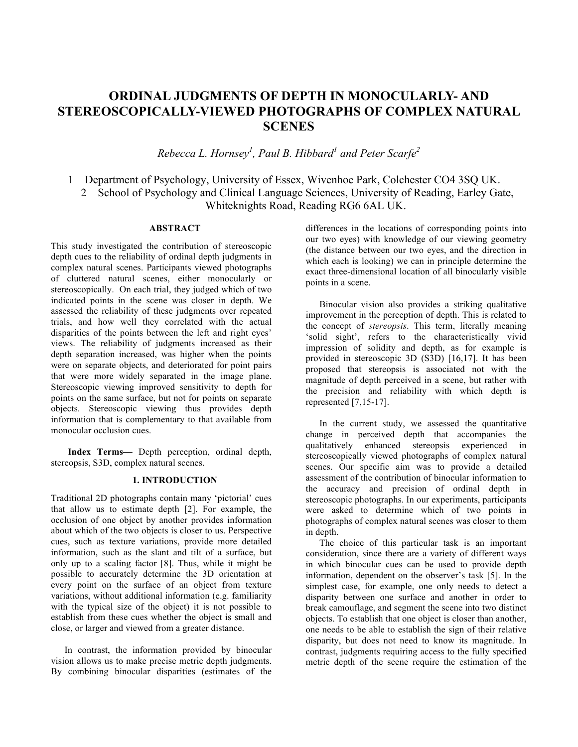# **ORDINAL JUDGMENTS OF DEPTH IN MONOCULARLY- AND STEREOSCOPICALLY-VIEWED PHOTOGRAPHS OF COMPLEX NATURAL SCENES**

*Rebecca L. Hornsey1 , Paul B. Hibbard<sup>1</sup> and Peter Scarfe<sup>2</sup>*

1 Department of Psychology, University of Essex, Wivenhoe Park, Colchester CO4 3SQ UK. 2 School of Psychology and Clinical Language Sciences, University of Reading, Earley Gate, Whiteknights Road, Reading RG6 6AL UK.

## **ABSTRACT**

This study investigated the contribution of stereoscopic depth cues to the reliability of ordinal depth judgments in complex natural scenes. Participants viewed photographs of cluttered natural scenes, either monocularly or stereoscopically. On each trial, they judged which of two indicated points in the scene was closer in depth. We assessed the reliability of these judgments over repeated trials, and how well they correlated with the actual disparities of the points between the left and right eyes' views. The reliability of judgments increased as their depth separation increased, was higher when the points were on separate objects, and deteriorated for point pairs that were more widely separated in the image plane. Stereoscopic viewing improved sensitivity to depth for points on the same surface, but not for points on separate objects. Stereoscopic viewing thus provides depth information that is complementary to that available from monocular occlusion cues.

**Index Terms—** Depth perception, ordinal depth, stereopsis, S3D, complex natural scenes.

#### **1. INTRODUCTION**

Traditional 2D photographs contain many 'pictorial' cues that allow us to estimate depth [2]. For example, the occlusion of one object by another provides information about which of the two objects is closer to us. Perspective cues, such as texture variations, provide more detailed information, such as the slant and tilt of a surface, but only up to a scaling factor [8]. Thus, while it might be possible to accurately determine the 3D orientation at every point on the surface of an object from texture variations, without additional information (e.g. familiarity with the typical size of the object) it is not possible to establish from these cues whether the object is small and close, or larger and viewed from a greater distance.

In contrast, the information provided by binocular vision allows us to make precise metric depth judgments. By combining binocular disparities (estimates of the differences in the locations of corresponding points into our two eyes) with knowledge of our viewing geometry (the distance between our two eyes, and the direction in which each is looking) we can in principle determine the exact three-dimensional location of all binocularly visible points in a scene.

Binocular vision also provides a striking qualitative improvement in the perception of depth. This is related to the concept of *stereopsis*. This term, literally meaning 'solid sight', refers to the characteristically vivid impression of solidity and depth, as for example is provided in stereoscopic 3D (S3D) [16,17]. It has been proposed that stereopsis is associated not with the magnitude of depth perceived in a scene, but rather with the precision and reliability with which depth is represented [7,15-17].

In the current study, we assessed the quantitative change in perceived depth that accompanies the qualitatively enhanced stereopsis experienced in stereoscopically viewed photographs of complex natural scenes. Our specific aim was to provide a detailed assessment of the contribution of binocular information to the accuracy and precision of ordinal depth in stereoscopic photographs. In our experiments, participants were asked to determine which of two points in photographs of complex natural scenes was closer to them in depth.

The choice of this particular task is an important consideration, since there are a variety of different ways in which binocular cues can be used to provide depth information, dependent on the observer's task [5]. In the simplest case, for example, one only needs to detect a disparity between one surface and another in order to break camouflage, and segment the scene into two distinct objects. To establish that one object is closer than another, one needs to be able to establish the sign of their relative disparity, but does not need to know its magnitude. In contrast, judgments requiring access to the fully specified metric depth of the scene require the estimation of the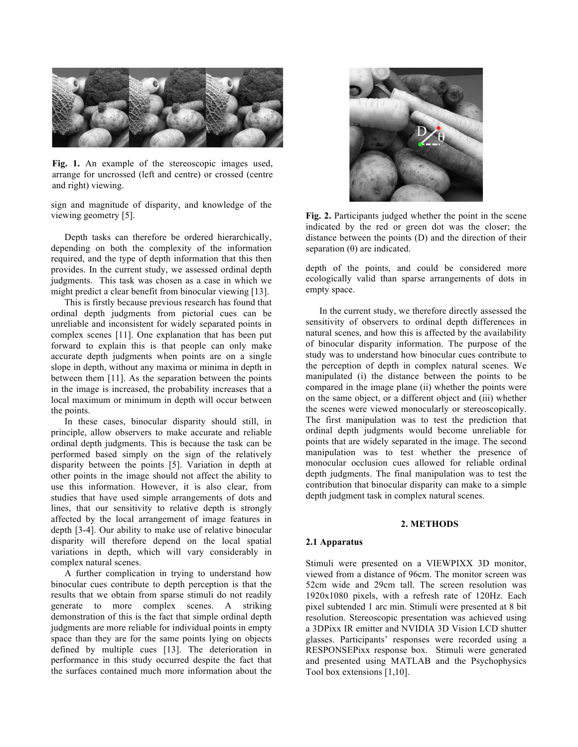

**Fig. 1.** An example of the stereoscopic images used, arrange for uncrossed (left and centre) or crossed (centre and right) viewing.

sign and magnitude of disparity, and knowledge of the viewing geometry [5].

Depth tasks can therefore be ordered hierarchically, depending on both the complexity of the information required, and the type of depth information that this then provides. In the current study, we assessed ordinal depth judgments. This task was chosen as a case in which we might predict a clear benefit from binocular viewing [13].

This is firstly because previous research has found that ordinal depth judgments from pictorial cues can be unreliable and inconsistent for widely separated points in complex scenes [11]. One explanation that has been put forward to explain this is that people can only make accurate depth judgments when points are on a single slope in depth, without any maxima or minima in depth in between them [11]. As the separation between the points in the image is increased, the probability increases that a local maximum or minimum in depth will occur between the points.

In these cases, binocular disparity should still, in principle, allow observers to make accurate and reliable ordinal depth judgments. This is because the task can be performed based simply on the sign of the relatively disparity between the points [5]. Variation in depth at other points in the image should not affect the ability to use this information. However, it is also clear, from studies that have used simple arrangements of dots and lines, that our sensitivity to relative depth is strongly affected by the local arrangement of image features in depth [3-4]. Our ability to make use of relative binocular disparity will therefore depend on the local spatial variations in depth, which will vary considerably in complex natural scenes.

A further complication in trying to understand how binocular cues contribute to depth perception is that the results that we obtain from sparse stimuli do not readily generate to more complex scenes. A striking demonstration of this is the fact that simple ordinal depth judgments are more reliable for individual points in empty space than they are for the same points lying on objects defined by multiple cues [13]. The deterioration in performance in this study occurred despite the fact that the surfaces contained much more information about the



**Fig. 2.** Participants judged whether the point in the scene indicated by the red or green dot was the closer; the distance between the points (D) and the direction of their separation  $(\theta)$  are indicated.

depth of the points, and could be considered more ecologically valid than sparse arrangements of dots in empty space.

In the current study, we therefore directly assessed the sensitivity of observers to ordinal depth differences in natural scenes, and how this is affected by the availability of binocular disparity information. The purpose of the study was to understand how binocular cues contribute to the perception of depth in complex natural scenes. We manipulated (i) the distance between the points to be compared in the image plane (ii) whether the points were on the same object, or a different object and (iii) whether the scenes were viewed monocularly or stereoscopically. The first manipulation was to test the prediction that ordinal depth judgments would become unreliable for points that are widely separated in the image. The second manipulation was to test whether the presence of monocular occlusion cues allowed for reliable ordinal depth judgments. The final manipulation was to test the contribution that binocular disparity can make to a simple depth judgment task in complex natural scenes.

#### **2. METHODS**

#### **2.1 Apparatus**

Stimuli were presented on a VIEWPIXX 3D monitor, viewed from a distance of 96cm. The monitor screen was 52cm wide and 29cm tall. The screen resolution was 1920x1080 pixels, with a refresh rate of 120Hz. Each pixel subtended 1 arc min. Stimuli were presented at 8 bit resolution. Stereoscopic presentation was achieved using a 3DPixx IR emitter and NVIDIA 3D Vision LCD shutter glasses. Participants' responses were recorded using a RESPONSEPixx response box. Stimuli were generated and presented using MATLAB and the Psychophysics Tool box extensions [1,10].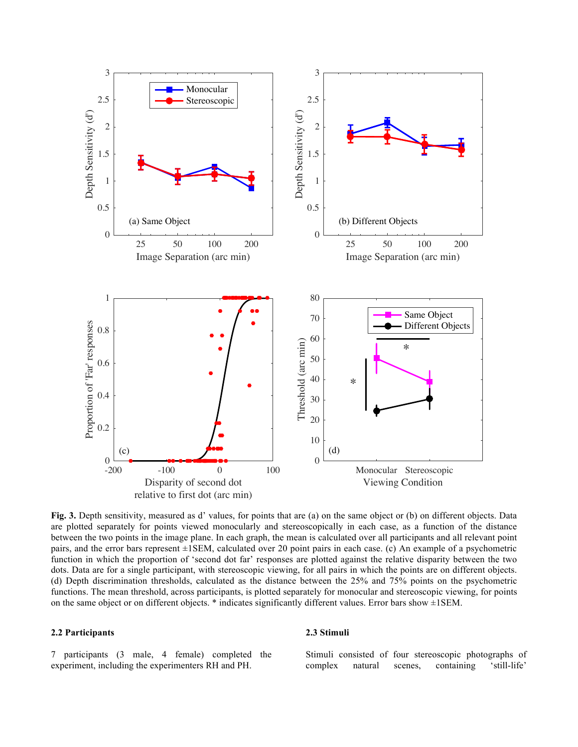

**Fig. 3.** Depth sensitivity, measured as d' values, for points that are (a) on the same object or (b) on different objects. Data are plotted separately for points viewed monocularly and stereoscopically in each case, as a function of the distance between the two points in the image plane. In each graph, the mean is calculated over all participants and all relevant point pairs, and the error bars represent ±1SEM, calculated over 20 point pairs in each case. (c) An example of a psychometric function in which the proportion of 'second dot far' responses are plotted against the relative disparity between the two dots. Data are for a single participant, with stereoscopic viewing, for all pairs in which the points are on different objects. (d) Depth discrimination thresholds, calculated as the distance between the 25% and 75% points on the psychometric functions. The mean threshold, across participants, is plotted separately for monocular and stereoscopic viewing, for points on the same object or on different objects. \* indicates significantly different values. Error bars show ±1SEM.

### **2.2 Participants**

7 participants (3 male, 4 female) completed the experiment, including the experimenters RH and PH.

#### **2.3 Stimuli**

Stimuli consisted of four stereoscopic photographs of complex natural scenes, containing 'still-life'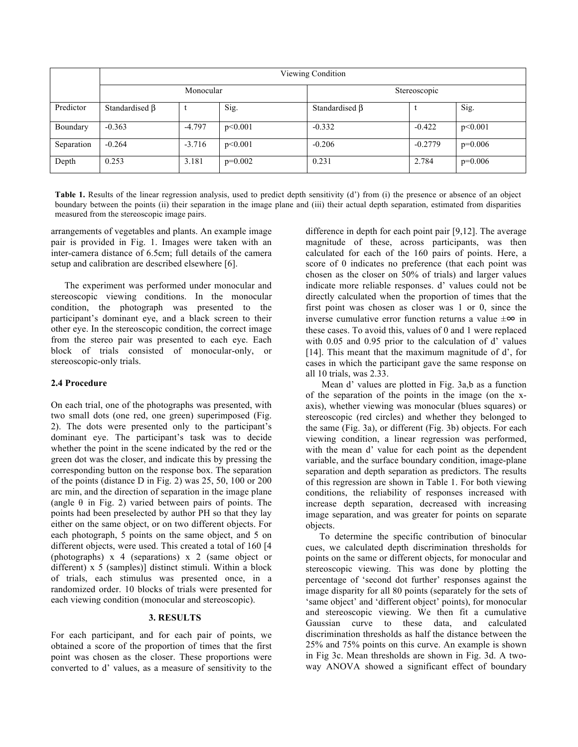|            | Viewing Condition    |          |           |                      |           |           |
|------------|----------------------|----------|-----------|----------------------|-----------|-----------|
|            | Monocular            |          |           | Stereoscopic         |           |           |
| Predictor  | Standardised $\beta$ |          | Sig.      | Standardised $\beta$ |           | Sig.      |
| Boundary   | $-0.363$             | $-4.797$ | p<0.001   | $-0.332$             | $-0.422$  | p<0.001   |
| Separation | $-0.264$             | $-3.716$ | p<0.001   | $-0.206$             | $-0.2779$ | $p=0.006$ |
| Depth      | 0.253                | 3.181    | $p=0.002$ | 0.231                | 2.784     | $p=0.006$ |

**Table 1.** Results of the linear regression analysis, used to predict depth sensitivity (d') from (i) the presence or absence of an object boundary between the points (ii) their separation in the image plane and (iii) their actual depth separation, estimated from disparities measured from the stereoscopic image pairs.

arrangements of vegetables and plants. An example image pair is provided in Fig. 1. Images were taken with an inter-camera distance of 6.5cm; full details of the camera setup and calibration are described elsewhere [6].

The experiment was performed under monocular and stereoscopic viewing conditions. In the monocular condition, the photograph was presented to the participant's dominant eye, and a black screen to their other eye. In the stereoscopic condition, the correct image from the stereo pair was presented to each eye. Each block of trials consisted of monocular-only, or stereoscopic-only trials.

#### **2.4 Procedure**

On each trial, one of the photographs was presented, with two small dots (one red, one green) superimposed (Fig. 2). The dots were presented only to the participant's dominant eye. The participant's task was to decide whether the point in the scene indicated by the red or the green dot was the closer, and indicate this by pressing the corresponding button on the response box. The separation of the points (distance D in Fig. 2) was 25, 50, 100 or 200 arc min, and the direction of separation in the image plane (angle  $\theta$  in Fig. 2) varied between pairs of points. The points had been preselected by author PH so that they lay either on the same object, or on two different objects. For each photograph, 5 points on the same object, and 5 on different objects, were used. This created a total of 160 [4 (photographs) x 4 (separations) x 2 (same object or different) x 5 (samples)] distinct stimuli. Within a block of trials, each stimulus was presented once, in a randomized order. 10 blocks of trials were presented for each viewing condition (monocular and stereoscopic).

#### **3. RESULTS**

For each participant, and for each pair of points, we obtained a score of the proportion of times that the first point was chosen as the closer. These proportions were converted to d' values, as a measure of sensitivity to the

difference in depth for each point pair [9,12]. The average magnitude of these, across participants, was then calculated for each of the 160 pairs of points. Here, a score of 0 indicates no preference (that each point was chosen as the closer on 50% of trials) and larger values indicate more reliable responses. d' values could not be directly calculated when the proportion of times that the first point was chosen as closer was 1 or 0, since the inverse cumulative error function returns a value  $\pm \infty$  in these cases. To avoid this, values of 0 and 1 were replaced with 0.05 and 0.95 prior to the calculation of d' values [14]. This meant that the maximum magnitude of d', for cases in which the participant gave the same response on all 10 trials, was 2.33.

Mean d' values are plotted in Fig. 3a,b as a function of the separation of the points in the image (on the xaxis), whether viewing was monocular (blues squares) or stereoscopic (red circles) and whether they belonged to the same (Fig. 3a), or different (Fig. 3b) objects. For each viewing condition, a linear regression was performed, with the mean d' value for each point as the dependent variable, and the surface boundary condition, image-plane separation and depth separation as predictors. The results of this regression are shown in Table 1. For both viewing conditions, the reliability of responses increased with increase depth separation, decreased with increasing image separation, and was greater for points on separate objects.

To determine the specific contribution of binocular cues, we calculated depth discrimination thresholds for points on the same or different objects, for monocular and stereoscopic viewing. This was done by plotting the percentage of 'second dot further' responses against the image disparity for all 80 points (separately for the sets of 'same object' and 'different object' points), for monocular and stereoscopic viewing. We then fit a cumulative Gaussian curve to these data, and calculated discrimination thresholds as half the distance between the 25% and 75% points on this curve. An example is shown in Fig 3c. Mean thresholds are shown in Fig. 3d. A twoway ANOVA showed a significant effect of boundary